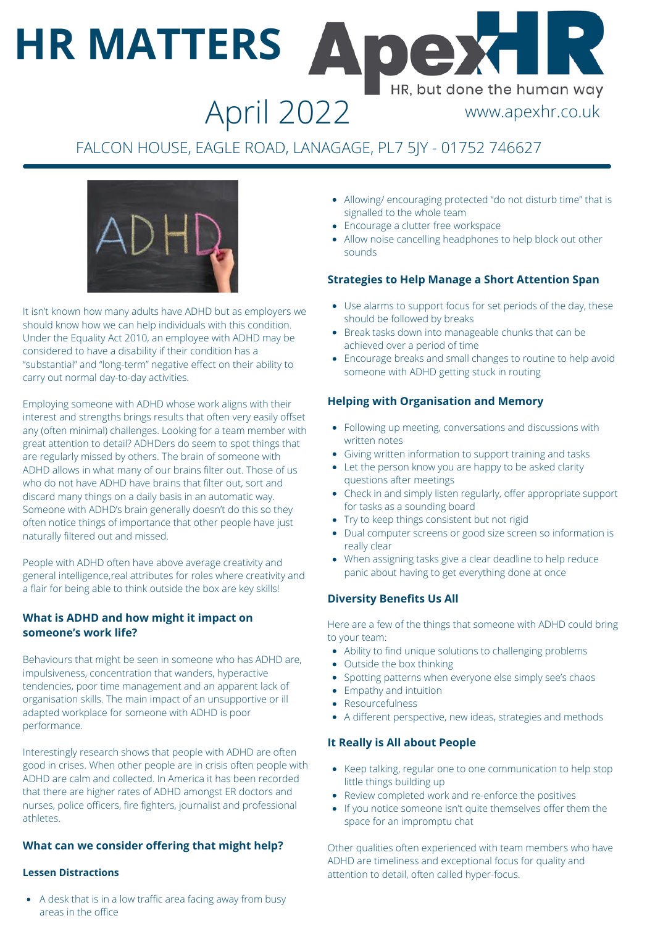# **HR MATTERS** HR, but done the human way

## April 2022 www.apexhr.co.uk

### FALCON HOUSE, EAGLE ROAD, LANAGAGE, PL7 5JY - 01752 746627



It isn't known how many adults have ADHD but as employers we should know how we can help individuals with this condition. Under the Equality Act 2010, an employee with ADHD may be considered to have a disability if their condition has a "substantial" and "long-term" negative effect on their ability to carry out normal day-to-day activities.

Employing someone with ADHD whose work aligns with their interest and strengths brings results that often very easily offset any (often minimal) challenges. Looking for a team member with great attention to detail? ADHDers do seem to spot things that are regularly missed by others. The brain of someone with ADHD allows in what many of our brains filter out. Those of us who do not have ADHD have brains that filter out, sort and discard many things on a daily basis in an automatic way. Someone with ADHD's brain generally doesn't do this so they often notice things of importance that other people have just naturally filtered out and missed.

People with ADHD often have above average creativity and general intelligence,real attributes for roles where creativity and a flair for being able to think outside the box are key skills!

#### **What is ADHD and how might it impact on someone's work life?**

Behaviours that might be seen in someone who has ADHD are, impulsiveness, concentration that wanders, hyperactive tendencies, poor time management and an apparent lack of organisation skills. The main impact of an unsupportive or ill adapted workplace for someone with ADHD is poor performance.

Interestingly research shows that people with ADHD are often good in crises. When other people are in crisis often people with ADHD are calm and collected. In America it has been recorded that there are higher rates of ADHD amongst ER doctors and nurses, police officers, fire fighters, journalist and professional athletes.

#### **What can we consider offering that might help?**

#### **Lessen Distractions**

A desk that is in a low traffic area facing away from busy areas in the office

- Allowing/ encouraging protected "do not disturb time" that is signalled to the whole team
- Encourage a clutter free workspace
- Allow noise cancelling headphones to help block out other sounds

#### **Strategies to Help Manage a Short Attention Span**

- Use alarms to support focus for set periods of the day, these should be followed by breaks
- Break tasks down into manageable chunks that can be achieved over a period of time
- Encourage breaks and small changes to routine to help avoid someone with ADHD getting stuck in routing

#### **Helping with Organisation and Memory**

- Following up meeting, conversations and discussions with written notes
- Giving written information to support training and tasks
- Let the person know you are happy to be asked clarity questions after meetings
- Check in and simply listen regularly, offer appropriate support for tasks as a sounding board
- Try to keep things consistent but not rigid
- Dual computer screens or good size screen so information is really clear
- When assigning tasks give a clear deadline to help reduce panic about having to get everything done at once

#### **Diversity Benefits Us All**

Here are a few of the things that someone with ADHD could bring to your team:

- Ability to find unique solutions to challenging problems
- Outside the box thinking
- Spotting patterns when everyone else simply see's chaos
- Empathy and intuition
- Resourcefulness
- A different perspective, new ideas, strategies and methods

#### **It Really is All about People**

- Keep talking, regular one to one communication to help stop little things building up
- Review completed work and re-enforce the positives
- If you notice someone isn't quite themselves offer them the space for an impromptu chat

Other qualities often experienced with team members who have ADHD are timeliness and exceptional focus for quality and attention to detail, often called hyper-focus.